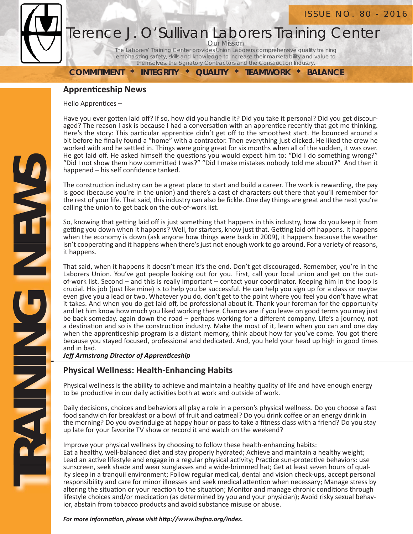



## Terence J. O'Sullivan Laborers Training Center

Our Mission The Laborers' Training Center provides Union Laborers comprehensive quality training emphasizing safety, skills and knowledge to increase their marketability and value to themselves, the Signatory Contractors and the Construction Industry.

**COMMITMENT \* INTEGRITY \* QUALITY \* TEAMWORK \* BALANCE**

### **ApprenƟ ceship News**

Hello Apprentices -

Have you ever gotten laid off? If so, how did you handle it? Did you take it personal? Did you get discouraged? The reason I ask is because I had a conversation with an apprentice recently that got me thinking. Here's the story: This particular apprentice didn't get off to the smoothest start. He bounced around a bit before he finally found a "home" with a contractor. Then everything just clicked. He liked the crew he worked with and he settled in. Things were going great for six months when all of the sudden, it was over. He got laid off. He asked himself the questions you would expect him to: "Did I do something wrong?" "Did I not show them how committed I was?" "Did I make mistakes nobody told me about?" And then it happened - his self confidence tanked.

The construction industry can be a great place to start and build a career. The work is rewarding, the pay is good (because you're in the union) and there's a cast of characters out there that you'll remember for the rest of your life. That said, this industry can also be fickle. One day things are great and the next you're calling the union to get back on the out-of-work list.

So, knowing that getting laid off is just something that happens in this industry, how do you keep it from getting you down when it happens? Well, for starters, know just that. Getting laid off happens. It happens when the economy is down (ask anyone how things were back in 2009), it happens because the weather isn't cooperating and it happens when there's just not enough work to go around. For a variety of reasons, it happens.

That said, when it happens it doesn't mean it's the end. Don't get discouraged. Remember, you're in the Laborers Union. You've got people looking out for you. First, call your local union and get on the outof-work list. Second – and this is really important – contact your coordinator. Keeping him in the loop is crucial. His job (just like mine) is to help you be successful. He can help you sign up for a class or maybe even give you a lead or two. Whatever you do, don't get to the point where you feel you don't have what it takes. And when you do get laid off, be professional about it. Thank your foreman for the opportunity and let him know how much you liked working there. Chances are if you leave on good terms you may just be back someday. again down the road – perhaps working for a different company. Life's a journey, not a destination and so is the construction industry. Make the most of it, learn when you can and one day when the apprenticeship program is a distant memory, think about how far you've come. You got there because you stayed focused, professional and dedicated. And, you held your head up high in good times and in bad.

**Jeff** Armstrong Director of Apprenticeship

## **Physical Wellness: Health-Enhancing Habits**

Physical wellness is the ability to achieve and maintain a healthy quality of life and have enough energy to be productive in our daily activities both at work and outside of work.

Daily decisions, choices and behaviors all play a role in a person's physical wellness. Do you choose a fast food sandwich for breakfast or a bowl of fruit and oatmeal? Do you drink coffee or an energy drink in the morning? Do you overindulge at happy hour or pass to take a fitness class with a friend? Do you stay up late for your favorite TV show or record it and watch on the weekend?

Improve your physical wellness by choosing to follow these health-enhancing habits: Eat a healthy, well-balanced diet and stay properly hydrated; Achieve and maintain a healthy weight; Lead an active lifestyle and engage in a regular physical activity; Practice sun-protective behaviors: use sunscreen, seek shade and wear sunglasses and a wide-brimmed hat; Get at least seven hours of quality sleep in a tranquil environment; Follow regular medical, dental and vision check-ups, accept personal responsibility and care for minor illnesses and seek medical attention when necessary; Manage stress by altering the situation or your reaction to the situation; Monitor and manage chronic conditions through lifestyle choices and/or medication (as determined by you and your physician); Avoid risky sexual behavior, abstain from tobacco products and avoid substance misuse or abuse.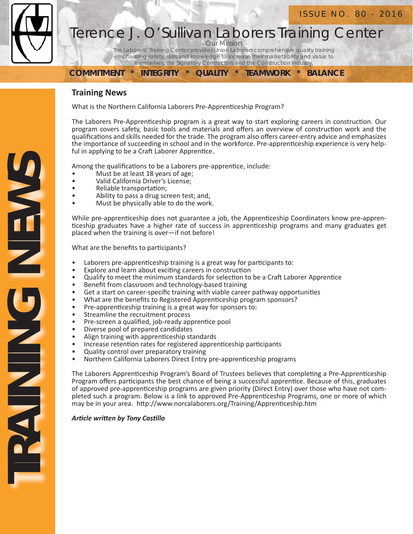

# Terence J. O'Sullivan Laborers Training Center

**Our Mission** The Laborers' Training Center provides Union Laborers comprehensive quality training

emphasizing safety, skills and knowledge to increase their marketability and value to themselves, the Signatory Contractors and the Construction Industry.

**COMMITMENT \* INTEGRITY \* QUALITY \* TEAMWORK \* BALANCE**

#### **Training News**

What is the Northern California Laborers Pre-Apprenticeship Program?

The Laborers Pre-Apprenticeship program is a great way to start exploring careers in construction. Our program covers safety, basic tools and materials and offers an overview of construction work and the qualifications and skills needed for the trade. The program also offers career-entry advice and emphasizes the importance of succeeding in school and in the workforce. Pre-apprenticeship experience is very helpful in applying to be a Craft Laborer Apprentice.

Among the qualifications to be a Laborers pre-apprentice, include:

- Must be at least 18 years of age;
- Valid California Driver's License;
- Reliable transportation;
- Ability to pass a drug screen test; and,
- Must be physically able to do the work.

While pre-apprenticeship does not guarantee a job, the Apprenticeship Coordinators know pre-apprenticeship graduates have a higher rate of success in apprenticeship programs and many graduates get placed when the training is over—if not before!

What are the benefits to participants?

- Laborers pre-apprenticeship training is a great way for participants to:
- Explore and learn about exciting careers in construction
- Qualify to meet the minimum standards for selection to be a Craft Laborer Apprentice
- Benefit from classroom and technology-based training
- Get a start on career-specific training with viable career pathway opportunities
- What are the benefits to Registered Apprenticeship program sponsors?<br>• Pre-apprenticeship training is a great way for sponsors to:
- Pre-apprenticeship training is a great way for sponsors to:
- Streamline the recruitment process<br>• Pre-screen a qualified job-ready and
- Pre-screen a qualified, job-ready apprentice pool
- Diverse pool of prepared candidates
- Align training with apprenticeship standards
- Increase retention rates for registered apprenticeship participants
- Quality control over preparatory training
- Northern California Laborers Direct Entry pre-apprenticeship programs

The Laborers Apprenticeship Program's Board of Trustees believes that completing a Pre-Apprenticeship Program offers participants the best chance of being a successful apprentice. Because of this, graduates of approved pre-apprenticeship programs are given priority (Direct Entry) over those who have not completed such a program. Below is a link to approved Pre-Apprenticeship Programs, one or more of which may be in your area. http://www.norcalaborers.org/Training/Apprenticeship.htm

*ArƟ cle wriƩ en by Tony CasƟ llo*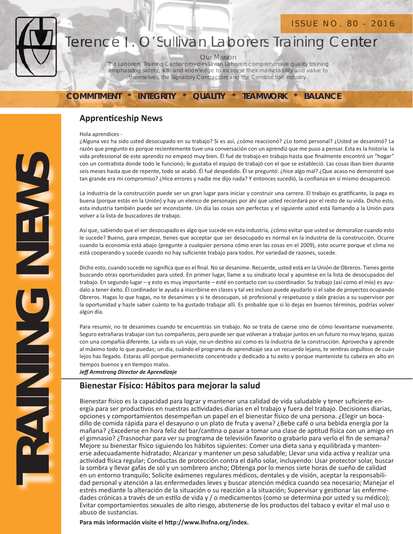#### ISSUE NO. 80 - 2016



## Terence J. O'Sullivan Laborers Training Center Terence J. O'Sullivan Laborers Training

Our Mission

The Laborers' Training Center provides Union Laborers comprehensive quality training OurMissionThe providesUnion Laborerscomprehensive quality training emphasizing safety, skills and knowledge to increase their marketability and value to themselves, the Signatory Contractors and the Construction Industry. ISSUE NO. 80 - 2016<br>J. O'Sullivan Laborers Training Center<br>Our Mission<br>Drers' Training Center provides Union Laborers comprehensive quality training<br>Dizing safety, skills and knowledge to increase their marketability and v

#### **COMMITMENT \* INTEGRITY \* QUALITY \* TEAMWORK \* BALANCE**

### **Apprenticeship News**

Hola aprendices -

¿Alguna vez ha sido usted desocupado en su trabajo? Si es así, ¿cómo reaccionó? ¿Lo tomó personal? ¿Usted se desanimó? La razón que pregunto es porque recientemente tuve una conversación con un aprendiz que me puso a pensar. Esta es la historia: la vida professional de este aprendiz no empezó muy bien. Él fué de trabajo en trabajo hasta que finalmente encontró un "hogar" con un contratista donde todo le funcionó; le gustaba el equipo de trabajó con el que se estableció. Las cosas iban bien durante seis meses hasta que de repente, todo se acabó. Él fué despedido. Él se preguntó: ¿hice algo mal? ¿Que acaso no demonstré que tan grande era mi compromiso? ¿Hice errores y nadie me dijo nada? Y entonces sucedió, la confianza en sí mismo desapareció.

La industria de la construcción puede ser un gran lugar para iniciar y construir una carrera. El trabajo es gratificante, la paga es buena (porque estás en la Unión) y hay un elenco de personajes por ahí que usted recordará por el resto de su vida. Dicho esto, esta industria también puede ser inconstante. Un día las cosas son perfectas y el siguiente usted está llamando a la Unión para volver a la lista de buscadores de trabajo.

Así que, sabiendo que el ser desocupado es algo que sucede en esta industria, ¿cómo evitar que usted se demoralize cuando esto le sucede? Bueno, para empezar, tienes que acceptar que ser desocupado es normal en la industria de la construcción. Ocurre cuando la economía está abajo (pregunte a cualquier persona cómo eran las cosas en el 2009), esto ocurre porque el clima no está cooperando y sucede cuando no hay suficiente trabajo para todos. Por variedad de razones, sucede.

Dicho esto, cuando sucede no significa que es el final. No se desanime. Recuerde, usted está en la Unión de Obreros. Tienes gente buscando otras oportunidades para usted. En primer lugar, llame a su sindicato local y apuntese en la lista de desocupados del trabajo. En segundo lugar – y esto es muy importante – esté en contacto con su coordinador. Su trabajo (así como el mío) es ayudalo a tener éxito. Él cordinador le ayuda a inscribirse en clases y tal vez incluso puede ayudarlo si el sabe de proyectos ocupando Obreros. Hagas lo que hagas, no te desanimes y si te desocupan, sé profesional y respetuoso y dale gracias a su supervisor por la oportunidad y hazle saber cuánto te ha gustado trabajar allí. Es probable que si lo dejas en buenos términos, podrías volver algún día.

Para resumir, no te desanimes cuando te encuentras sin trabajo. No se trata de caerse sino de cómo levantarse nuevamente. Seguro extrañaras trabajar con tus compañeros, pero puede ser que volveran a trabajar juntos en un futuro no muy lejano, quizas con una compañía diferente. La vida es un viaje, no un destino así como es la industria de la construcción. Aprovecha y aprende al máximo todo lo que puedas; un dia, cuándo el programa de aprendizaje sea un recuerdo lejano, te sentiras orgulloso de cuán lejos has llegado. Estaras allí porque permaneciste concentrado y dedicado a tu exito y porque manteniste tu cabeza en alto en tiempos buenos y en tiempos malos.

*Jeff Armstrong Director de Aprendizaje*

France Control is the control in the control in the control in the control in the control in the control is the mesh listed in the control is the members of the desired of is the parameter and the control is the control in Bienestar físico es la capacidad para lograr y mantener una calidad de vida saludable y tener suficiente energía para ser productivos en nuestras actividades diarias en el trabajo y fuera del trabajo. Decisiones diarias, opciones y comportamientos desempeñan un papel en el bienestar İ sico de una persona. ¿Elegir un bocadillo de comida rápida para el desayuno o un plato de fruta y avena? ¿Bebe café o una bebida energía por la mañana? ¿Excederse en hora feliz del bar/cantina o pasar a tomar una clase de aptitud física con un amigo en el gimnasio? ¿Trasnochar para ver su programa de televisión favorito o grabarlo para verlo el fin de semana? Mejore su bienestar físico siguiendo los hábitos siguientes: Comer una dieta sana y equilibrada y mantenerse adecuadamente hidratado; Alcanzar y mantener un peso saludable; Llevar una vida activa y realizar una actividad física regular; Conductas de protección contra el daño solar, incluyendo: Usar protector solar, buscar la sombra y llevar gafas de sol y un sombrero ancho; Obtenga por lo menos siete horas de sueño de calidad en un entorno tranquilo; Solicite exámenes regulares médicos, dentales y de visión, aceptar la responsabilidad personal y atención a las enfermedades leves y buscar atención médica cuando sea necesario; Manejar el estrés mediante la alteración de la situación o su reacción a la situación; Supervisar y gestionar las enfermedades crónicas a través de un estilo de vida y / o medicamentos (como se determina por usted y su médico); Evitar comportamientos sexuales de alto riesgo, abstenerse de los productos del tabaco y evitar el mal uso o abuso de sustancias.

Para más información visite el http://www.lhsfna.org/index.